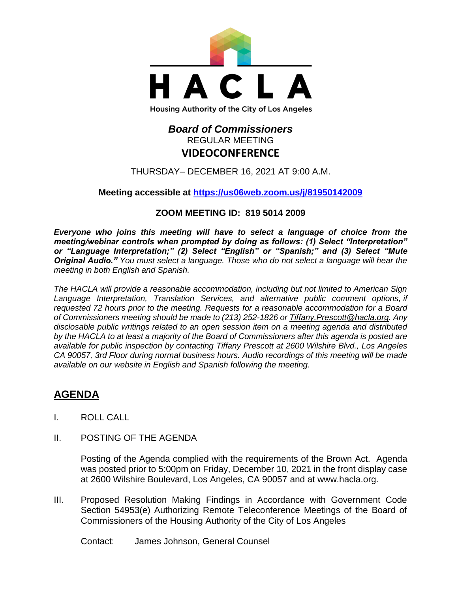

## *Board of Commissioners* REGULAR MEETING **VIDEOCONFERENCE**

THURSDAY– DECEMBER 16, 2021 AT 9:00 A.M.

#### **Meeting accessible at<https://us06web.zoom.us/j/81950142009>**

#### **ZOOM MEETING ID: 819 5014 2009**

*Everyone who joins this meeting will have to select a language of choice from the meeting/webinar controls when prompted by doing as follows: (1) Select "Interpretation" or "Language Interpretation;" (2) Select "English" or "Spanish;" and (3) Select "Mute Original Audio." You must select a language. Those who do not select a language will hear the meeting in both English and Spanish.*

*The HACLA will provide a reasonable accommodation, including but not limited to American Sign Language Interpretation, Translation Services, and alternative public comment options, if requested 72 hours prior to the meeting. Requests for a reasonable accommodation for a Board of Commissioners meeting should be made to (213) 252-1826 or Tiffany.Prescott@hacla.org. Any disclosable public writings related to an open session item on a meeting agenda and distributed by the HACLA to at least a majority of the Board of Commissioners after this agenda is posted are available for public inspection by contacting Tiffany Prescott at 2600 Wilshire Blvd., Los Angeles CA 90057, 3rd Floor during normal business hours. Audio recordings of this meeting will be made available on our website in English and Spanish following the meeting.*

# **AGENDA**

- I. ROLL CALL
- II. POSTING OF THE AGENDA

Posting of the Agenda complied with the requirements of the Brown Act. Agenda was posted prior to 5:00pm on Friday, December 10, 2021 in the front display case at 2600 Wilshire Boulevard, Los Angeles, CA 90057 and at [www.hacla.org.](http://www.hacla.org/)

III. Proposed Resolution Making Findings in Accordance with Government Code Section 54953(e) Authorizing Remote Teleconference Meetings of the Board of Commissioners of the Housing Authority of the City of Los Angeles

Contact: James Johnson, General Counsel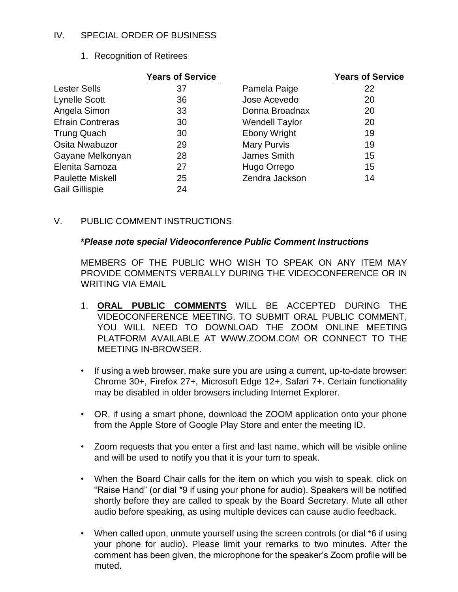#### IV. SPECIAL ORDER OF BUSINESS

1. Recognition of Retirees

|                         | <b>Years of Service</b> |                       | <b>Years of Service</b> |
|-------------------------|-------------------------|-----------------------|-------------------------|
| <b>Lester Sells</b>     | 37                      | Pamela Paige          | 22                      |
| <b>Lynelle Scott</b>    | 36                      | Jose Acevedo          | 20                      |
| Angela Simon            | 33                      | Donna Broadnax        | 20                      |
| <b>Efrain Contreras</b> | 30                      | <b>Wendell Taylor</b> | 20                      |
| <b>Trung Quach</b>      | 30                      | <b>Ebony Wright</b>   | 19                      |
| Osita Nwabuzor          | 29                      | <b>Mary Purvis</b>    | 19                      |
| Gayane Melkonyan        | 28                      | James Smith           | 15                      |
| Elenita Samoza          | 27                      | Hugo Orrego           | 15                      |
| <b>Paulette Miskell</b> | 25                      | Zendra Jackson        | 14                      |
| <b>Gail Gillispie</b>   | 24                      |                       |                         |

V. PUBLIC COMMENT INSTRUCTIONS

#### **\****Please note special Videoconference Public Comment Instructions*

MEMBERS OF THE PUBLIC WHO WISH TO SPEAK ON ANY ITEM MAY PROVIDE COMMENTS VERBALLY DURING THE VIDEOCONFERENCE OR IN WRITING VIA EMAIL

- 1. **ORAL PUBLIC COMMENTS** WILL BE ACCEPTED DURING THE VIDEOCONFERENCE MEETING. TO SUBMIT ORAL PUBLIC COMMENT, YOU WILL NEED TO DOWNLOAD THE ZOOM ONLINE MEETING PLATFORM AVAILABLE AT WWW.ZOOM.COM OR CONNECT TO THE MEETING IN-BROWSER.
- If using a web browser, make sure you are using a current, up-to-date browser: Chrome 30+, Firefox 27+, Microsoft Edge 12+, Safari 7+. Certain functionality may be disabled in older browsers including Internet Explorer.
- OR, if using a smart phone, download the ZOOM application onto your phone from the Apple Store of Google Play Store and enter the meeting ID.
- Zoom requests that you enter a first and last name, which will be visible online and will be used to notify you that it is your turn to speak.
- When the Board Chair calls for the item on which you wish to speak, click on "Raise Hand" (or dial \*9 if using your phone for audio). Speakers will be notified shortly before they are called to speak by the Board Secretary. Mute all other audio before speaking, as using multiple devices can cause audio feedback.
- When called upon, unmute yourself using the screen controls (or dial \*6 if using your phone for audio). Please limit your remarks to two minutes. After the comment has been given, the microphone for the speaker's Zoom profile will be muted.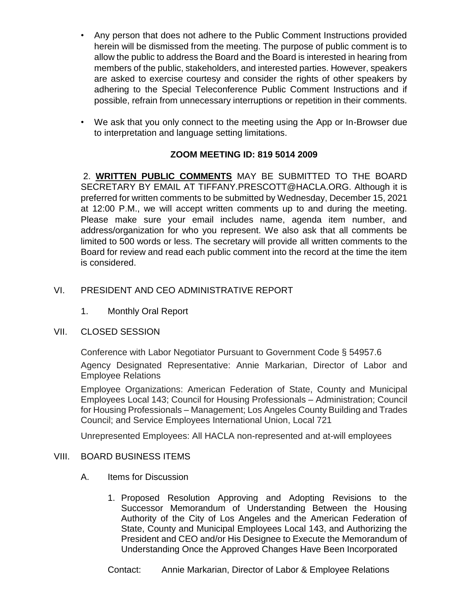- Any person that does not adhere to the Public Comment Instructions provided herein will be dismissed from the meeting. The purpose of public comment is to allow the public to address the Board and the Board is interested in hearing from members of the public, stakeholders, and interested parties. However, speakers are asked to exercise courtesy and consider the rights of other speakers by adhering to the Special Teleconference Public Comment Instructions and if possible, refrain from unnecessary interruptions or repetition in their comments.
- We ask that you only connect to the meeting using the App or In-Browser due to interpretation and language setting limitations.

### **ZOOM MEETING ID: 819 5014 2009**

2. **WRITTEN PUBLIC COMMENTS** MAY BE SUBMITTED TO THE BOARD SECRETARY BY EMAIL AT TIFFANY.PRESCOTT@HACLA.ORG. Although it is preferred for written comments to be submitted by Wednesday, December 15, 2021 at 12:00 P.M., we will accept written comments up to and during the meeting. Please make sure your email includes name, agenda item number, and address/organization for who you represent. We also ask that all comments be limited to 500 words or less. The secretary will provide all written comments to the Board for review and read each public comment into the record at the time the item is considered.

#### VI. PRESIDENT AND CEO ADMINISTRATIVE REPORT

1. Monthly Oral Report

#### VII. CLOSED SESSION

Conference with Labor Negotiator Pursuant to Government Code § 54957.6

Agency Designated Representative: Annie Markarian, Director of Labor and Employee Relations

Employee Organizations: American Federation of State, County and Municipal Employees Local 143; Council for Housing Professionals – Administration; Council for Housing Professionals – Management; Los Angeles County Building and Trades Council; and Service Employees International Union, Local 721

Unrepresented Employees: All HACLA non-represented and at-will employees

#### VIII. BOARD BUSINESS ITEMS

- A. Items for Discussion
	- 1. Proposed Resolution Approving and Adopting Revisions to the Successor Memorandum of Understanding Between the Housing Authority of the City of Los Angeles and the American Federation of State, County and Municipal Employees Local 143, and Authorizing the President and CEO and/or His Designee to Execute the Memorandum of Understanding Once the Approved Changes Have Been Incorporated

Contact: Annie Markarian, Director of Labor & Employee Relations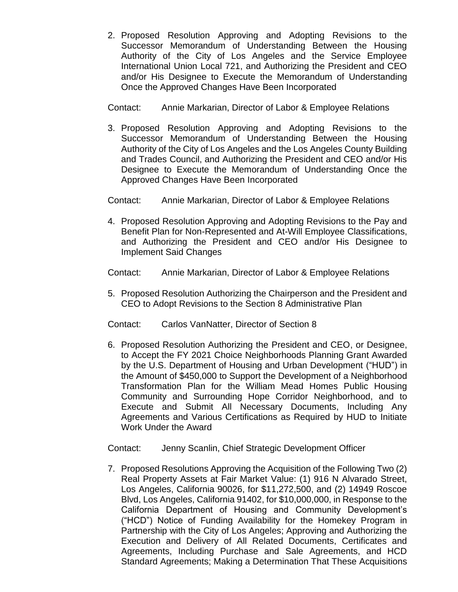2. Proposed Resolution Approving and Adopting Revisions to the Successor Memorandum of Understanding Between the Housing Authority of the City of Los Angeles and the Service Employee International Union Local 721, and Authorizing the President and CEO and/or His Designee to Execute the Memorandum of Understanding Once the Approved Changes Have Been Incorporated

Contact: Annie Markarian, Director of Labor & Employee Relations

3. Proposed Resolution Approving and Adopting Revisions to the Successor Memorandum of Understanding Between the Housing Authority of the City of Los Angeles and the Los Angeles County Building and Trades Council, and Authorizing the President and CEO and/or His Designee to Execute the Memorandum of Understanding Once the Approved Changes Have Been Incorporated

Contact: Annie Markarian, Director of Labor & Employee Relations

- 4. Proposed Resolution Approving and Adopting Revisions to the Pay and Benefit Plan for Non-Represented and At-Will Employee Classifications, and Authorizing the President and CEO and/or His Designee to Implement Said Changes
- Contact: Annie Markarian, Director of Labor & Employee Relations
- 5. Proposed Resolution Authorizing the Chairperson and the President and CEO to Adopt Revisions to the Section 8 Administrative Plan
- Contact: Carlos VanNatter, Director of Section 8
- 6. Proposed Resolution Authorizing the President and CEO, or Designee, to Accept the FY 2021 Choice Neighborhoods Planning Grant Awarded by the U.S. Department of Housing and Urban Development ("HUD") in the Amount of \$450,000 to Support the Development of a Neighborhood Transformation Plan for the William Mead Homes Public Housing Community and Surrounding Hope Corridor Neighborhood, and to Execute and Submit All Necessary Documents, Including Any Agreements and Various Certifications as Required by HUD to Initiate Work Under the Award

Contact: Jenny Scanlin, Chief Strategic Development Officer

7. Proposed Resolutions Approving the Acquisition of the Following Two (2) Real Property Assets at Fair Market Value: (1) 916 N Alvarado Street, Los Angeles, California 90026, for \$11,272,500, and (2) 14949 Roscoe Blvd, Los Angeles, California 91402, for \$10,000,000, in Response to the California Department of Housing and Community Development's ("HCD") Notice of Funding Availability for the Homekey Program in Partnership with the City of Los Angeles; Approving and Authorizing the Execution and Delivery of All Related Documents, Certificates and Agreements, Including Purchase and Sale Agreements, and HCD Standard Agreements; Making a Determination That These Acquisitions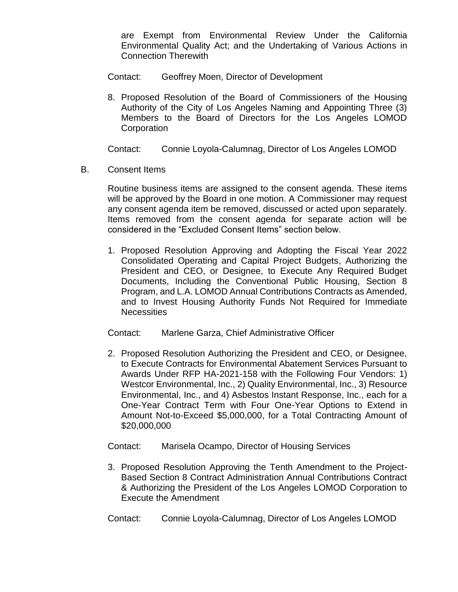are Exempt from Environmental Review Under the California Environmental Quality Act; and the Undertaking of Various Actions in Connection Therewith

Contact: Geoffrey Moen, Director of Development

8. Proposed Resolution of the Board of Commissioners of the Housing Authority of the City of Los Angeles Naming and Appointing Three (3) Members to the Board of Directors for the Los Angeles LOMOD **Corporation** 

Contact: Connie Loyola-Calumnag, Director of Los Angeles LOMOD

B. Consent Items

Routine business items are assigned to the consent agenda. These items will be approved by the Board in one motion. A Commissioner may request any consent agenda item be removed, discussed or acted upon separately. Items removed from the consent agenda for separate action will be considered in the "Excluded Consent Items" section below.

- 1. Proposed Resolution Approving and Adopting the Fiscal Year 2022 Consolidated Operating and Capital Project Budgets, Authorizing the President and CEO, or Designee, to Execute Any Required Budget Documents, Including the Conventional Public Housing, Section 8 Program, and L.A. LOMOD Annual Contributions Contracts as Amended, and to Invest Housing Authority Funds Not Required for Immediate **Necessities**
- Contact: Marlene Garza, Chief Administrative Officer
- 2. Proposed Resolution Authorizing the President and CEO, or Designee, to Execute Contracts for Environmental Abatement Services Pursuant to Awards Under RFP HA-2021-158 with the Following Four Vendors: 1) Westcor Environmental, Inc., 2) Quality Environmental, Inc., 3) Resource Environmental, Inc., and 4) Asbestos Instant Response, Inc., each for a One-Year Contract Term with Four One-Year Options to Extend in Amount Not-to-Exceed \$5,000,000, for a Total Contracting Amount of \$20,000,000
- Contact: Marisela Ocampo, Director of Housing Services
- 3. Proposed Resolution Approving the Tenth Amendment to the Project-Based Section 8 Contract Administration Annual Contributions Contract & Authorizing the President of the Los Angeles LOMOD Corporation to Execute the Amendment
- Contact: Connie Loyola-Calumnag, Director of Los Angeles LOMOD